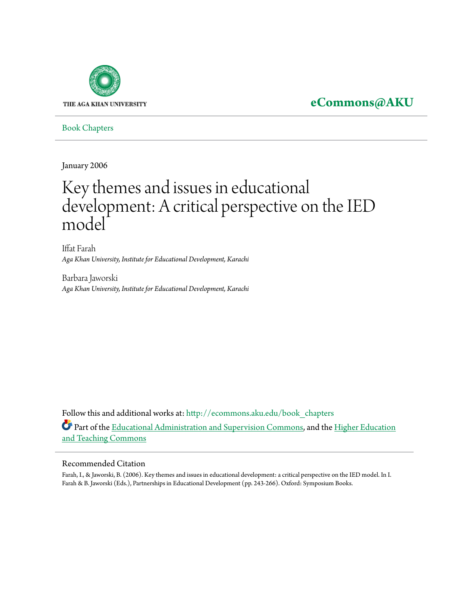

# **[eCommons@AKU](http://ecommons.aku.edu?utm_source=ecommons.aku.edu%2Fbook_chapters%2F12&utm_medium=PDF&utm_campaign=PDFCoverPages)**

[Book Chapters](http://ecommons.aku.edu/book_chapters?utm_source=ecommons.aku.edu%2Fbook_chapters%2F12&utm_medium=PDF&utm_campaign=PDFCoverPages)

January 2006

# Key themes and issues in educational development: A critical perspective on the IED model

Iffat Farah *Aga Khan University, Institute for Educational Development, Karachi*

Barbara Jaworski *Aga Khan University, Institute for Educational Development, Karachi*

Follow this and additional works at: [http://ecommons.aku.edu/book\\_chapters](http://ecommons.aku.edu/book_chapters?utm_source=ecommons.aku.edu%2Fbook_chapters%2F12&utm_medium=PDF&utm_campaign=PDFCoverPages) Part of the [Educational Administration and Supervision Commons,](http://network.bepress.com/hgg/discipline/787?utm_source=ecommons.aku.edu%2Fbook_chapters%2F12&utm_medium=PDF&utm_campaign=PDFCoverPages) and the [Higher Education](http://network.bepress.com/hgg/discipline/806?utm_source=ecommons.aku.edu%2Fbook_chapters%2F12&utm_medium=PDF&utm_campaign=PDFCoverPages) [and Teaching Commons](http://network.bepress.com/hgg/discipline/806?utm_source=ecommons.aku.edu%2Fbook_chapters%2F12&utm_medium=PDF&utm_campaign=PDFCoverPages)

# Recommended Citation

Farah, I., & Jaworski, B. (2006). Key themes and issues in educational development: a critical perspective on the IED model. In I. Farah & B. Jaworski (Eds.), Partnerships in Educational Development (pp. 243-266). Oxford: Symposium Books.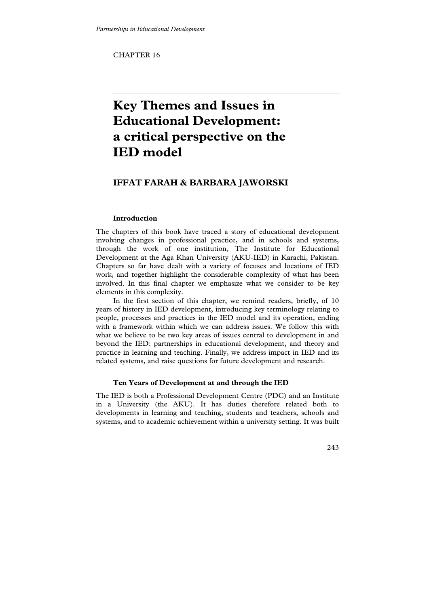CHAPTER 16

# **Key Themes and Issues in Educational Development: a critical perspective on the IED model**

# **IFFAT FARAH & BARBARA JAWORSKI**

# **Introduction**

The chapters of this book have traced a story of educational development involving changes in professional practice, and in schools and systems, through the work of one institution, The Institute for Educational Development at the Aga Khan University (AKU-IED) in Karachi, Pakistan. Chapters so far have dealt with a variety of focuses and locations of IED work, and together highlight the considerable complexity of what has been involved. In this final chapter we emphasize what we consider to be key elements in this complexity.

In the first section of this chapter, we remind readers, briefly, of 10 years of history in IED development, introducing key terminology relating to people, processes and practices in the IED model and its operation, ending with a framework within which we can address issues. We follow this with what we believe to be two key areas of issues central to development in and beyond the IED: partnerships in educational development, and theory and practice in learning and teaching. Finally, we address impact in IED and its related systems, and raise questions for future development and research.

# **Ten Years of Development at and through the IED**

The IED is both a Professional Development Centre (PDC) and an Institute in a University (the AKU). It has duties therefore related both to developments in learning and teaching, students and teachers, schools and systems, and to academic achievement within a university setting. It was built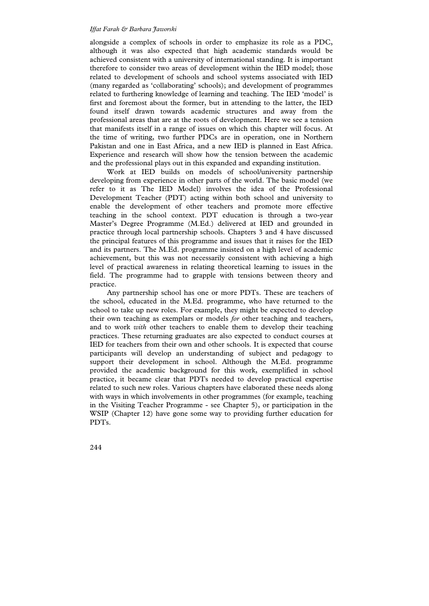alongside a complex of schools in order to emphasize its role as a PDC, although it was also expected that high academic standards would be achieved consistent with a university of international standing. It is important therefore to consider two areas of development within the IED model; those related to development of schools and school systems associated with IED (many regarded as 'collaborating' schools); and development of programmes related to furthering knowledge of learning and teaching. The IED 'model' is first and foremost about the former, but in attending to the latter, the IED found itself drawn towards academic structures and away from the professional areas that are at the roots of development. Here we see a tension that manifests itself in a range of issues on which this chapter will focus. At the time of writing, two further PDCs are in operation, one in Northern Pakistan and one in East Africa, and a new IED is planned in East Africa. Experience and research will show how the tension between the academic and the professional plays out in this expanded and expanding institution.

Work at IED builds on models of school/university partnership developing from experience in other parts of the world. The basic model (we refer to it as The IED Model) involves the idea of the Professional Development Teacher (PDT) acting within both school and university to enable the development of other teachers and promote more effective teaching in the school context. PDT education is through a two-year Master's Degree Programme (M.Ed.) delivered at IED and grounded in practice through local partnership schools. Chapters 3 and 4 have discussed the principal features of this programme and issues that it raises for the IED and its partners. The M.Ed. programme insisted on a high level of academic achievement, but this was not necessarily consistent with achieving a high level of practical awareness in relating theoretical learning to issues in the field. The programme had to grapple with tensions between theory and practice.

Any partnership school has one or more PDTs. These are teachers of the school, educated in the M.Ed. programme, who have returned to the school to take up new roles. For example, they might be expected to develop their own teaching as exemplars or models *for* other teaching and teachers, and to work *with* other teachers to enable them to develop their teaching practices. These returning graduates are also expected to conduct courses at IED for teachers from their own and other schools. It is expected that course participants will develop an understanding of subject and pedagogy to support their development in school. Although the M.Ed. programme provided the academic background for this work, exemplified in school practice, it became clear that PDTs needed to develop practical expertise related to such new roles. Various chapters have elaborated these needs along with ways in which involvements in other programmes (for example, teaching in the Visiting Teacher Programme - see Chapter 5), or participation in the WSIP (Chapter 12) have gone some way to providing further education for PDTs.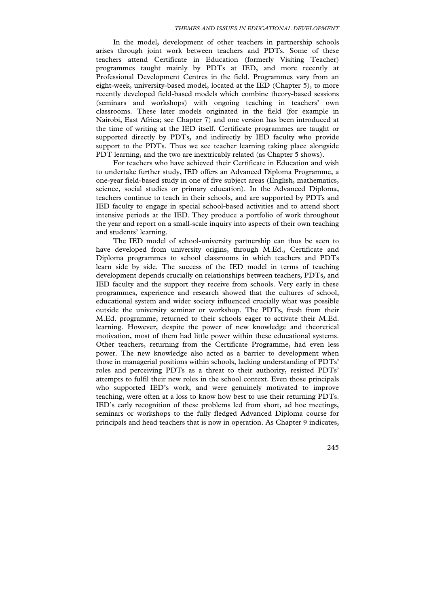In the model, development of other teachers in partnership schools arises through joint work between teachers and PDTs. Some of these teachers attend Certificate in Education (formerly Visiting Teacher) programmes taught mainly by PDTs at IED, and more recently at Professional Development Centres in the field. Programmes vary from an eight-week, university-based model, located at the IED (Chapter 5), to more recently developed field-based models which combine theory-based sessions (seminars and workshops) with ongoing teaching in teachers' own classrooms. These later models originated in the field (for example in Nairobi, East Africa; see Chapter 7) and one version has been introduced at the time of writing at the IED itself. Certificate programmes are taught or supported directly by PDTs, and indirectly by IED faculty who provide support to the PDTs. Thus we see teacher learning taking place alongside PDT learning, and the two are inextricably related (as Chapter 5 shows).

For teachers who have achieved their Certificate in Education and wish to undertake further study, IED offers an Advanced Diploma Programme, a one-year field-based study in one of five subject areas (English, mathematics, science, social studies or primary education). In the Advanced Diploma, teachers continue to teach in their schools, and are supported by PDTs and IED faculty to engage in special school-based activities and to attend short intensive periods at the IED. They produce a portfolio of work throughout the year and report on a small-scale inquiry into aspects of their own teaching and students' learning.

The IED model of school-university partnership can thus be seen to have developed from university origins, through M.Ed., Certificate and Diploma programmes to school classrooms in which teachers and PDTs learn side by side. The success of the IED model in terms of teaching development depends crucially on relationships between teachers, PDTs, and IED faculty and the support they receive from schools. Very early in these programmes, experience and research showed that the cultures of school, educational system and wider society influenced crucially what was possible outside the university seminar or workshop. The PDTs, fresh from their M.Ed. programme, returned to their schools eager to activate their M.Ed. learning. However, despite the power of new knowledge and theoretical motivation, most of them had little power within these educational systems. Other teachers, returning from the Certificate Programme, had even less power. The new knowledge also acted as a barrier to development when those in managerial positions within schools, lacking understanding of PDTs' roles and perceiving PDTs as a threat to their authority, resisted PDTs' attempts to fulfil their new roles in the school context. Even those principals who supported IED's work, and were genuinely motivated to improve teaching, were often at a loss to know how best to use their returning PDTs. IED's early recognition of these problems led from short, ad hoc meetings, seminars or workshops to the fully fledged Advanced Diploma course for principals and head teachers that is now in operation. As Chapter 9 indicates,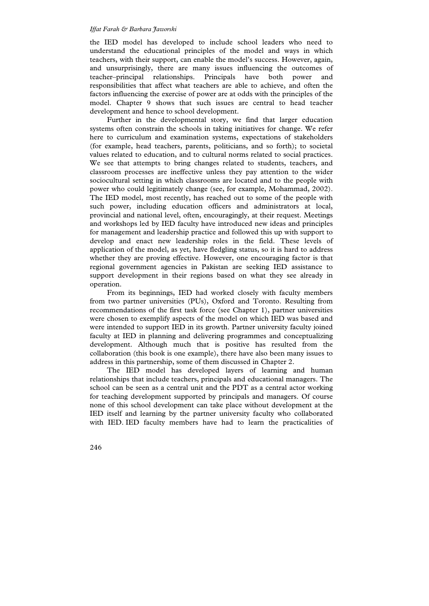the IED model has developed to include school leaders who need to understand the educational principles of the model and ways in which teachers, with their support, can enable the model's success. However, again, and unsurprisingly, there are many issues influencing the outcomes of teacher–principal relationships. Principals have both power and responsibilities that affect what teachers are able to achieve, and often the factors influencing the exercise of power are at odds with the principles of the model. Chapter 9 shows that such issues are central to head teacher development and hence to school development.

Further in the developmental story, we find that larger education systems often constrain the schools in taking initiatives for change. We refer here to curriculum and examination systems, expectations of stakeholders (for example, head teachers, parents, politicians, and so forth); to societal values related to education, and to cultural norms related to social practices. We see that attempts to bring changes related to students, teachers, and classroom processes are ineffective unless they pay attention to the wider sociocultural setting in which classrooms are located and to the people with power who could legitimately change (see, for example, Mohammad, 2002). The IED model, most recently, has reached out to some of the people with such power, including education officers and administrators at local, provincial and national level, often, encouragingly, at their request. Meetings and workshops led by IED faculty have introduced new ideas and principles for management and leadership practice and followed this up with support to develop and enact new leadership roles in the field. These levels of application of the model, as yet, have fledgling status, so it is hard to address whether they are proving effective. However, one encouraging factor is that regional government agencies in Pakistan are seeking IED assistance to support development in their regions based on what they see already in operation.

From its beginnings, IED had worked closely with faculty members from two partner universities (PUs), Oxford and Toronto. Resulting from recommendations of the first task force (see Chapter 1), partner universities were chosen to exemplify aspects of the model on which IED was based and were intended to support IED in its growth. Partner university faculty joined faculty at IED in planning and delivering programmes and conceptualizing development. Although much that is positive has resulted from the collaboration (this book is one example), there have also been many issues to address in this partnership, some of them discussed in Chapter 2.

The IED model has developed layers of learning and human relationships that include teachers, principals and educational managers. The school can be seen as a central unit and the PDT as a central actor working for teaching development supported by principals and managers. Of course none of this school development can take place without development at the IED itself and learning by the partner university faculty who collaborated with IED. IED faculty members have had to learn the practicalities of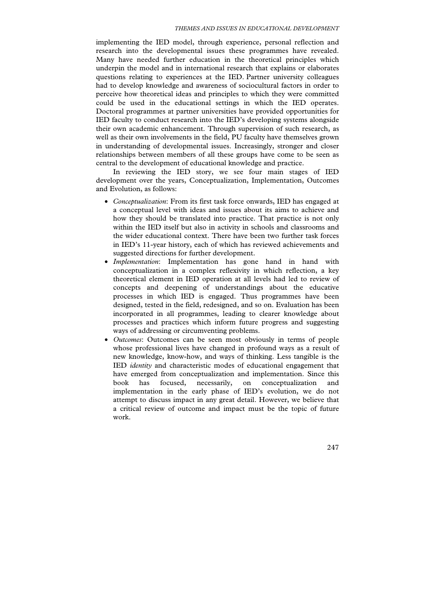implementing the IED model, through experience, personal reflection and research into the developmental issues these programmes have revealed. Many have needed further education in the theoretical principles which underpin the model and in international research that explains or elaborates questions relating to experiences at the IED. Partner university colleagues had to develop knowledge and awareness of sociocultural factors in order to perceive how theoretical ideas and principles to which they were committed could be used in the educational settings in which the IED operates. Doctoral programmes at partner universities have provided opportunities for IED faculty to conduct research into the IED's developing systems alongside their own academic enhancement. Through supervision of such research, as well as their own involvements in the field, PU faculty have themselves grown in understanding of developmental issues. Increasingly, stronger and closer relationships between members of all these groups have come to be seen as central to the development of educational knowledge and practice.

In reviewing the IED story, we see four main stages of IED development over the years, Conceptualization, Implementation, Outcomes and Evolution, as follows:

- *Conceptualization*: From its first task force onwards, IED has engaged at a conceptual level with ideas and issues about its aims to achieve and how they should be translated into practice. That practice is not only within the IED itself but also in activity in schools and classrooms and the wider educational context. There have been two further task forces in IED's 11-year history, each of which has reviewed achievements and suggested directions for further development.
- *Implementation*: Implementation has gone hand in hand with conceptualization in a complex reflexivity in which reflection, a key theoretical element in IED operation at all levels had led to review of concepts and deepening of understandings about the educative processes in which IED is engaged. Thus programmes have been designed, tested in the field, redesigned, and so on. Evaluation has been incorporated in all programmes, leading to clearer knowledge about processes and practices which inform future progress and suggesting ways of addressing or circumventing problems.
- *Outcomes*: Outcomes can be seen most obviously in terms of people whose professional lives have changed in profound ways as a result of new knowledge, know-how, and ways of thinking. Less tangible is the IED *identity* and characteristic modes of educational engagement that have emerged from conceptualization and implementation. Since this book has focused, necessarily, on conceptualization and implementation in the early phase of IED's evolution, we do not attempt to discuss impact in any great detail. However, we believe that a critical review of outcome and impact must be the topic of future work.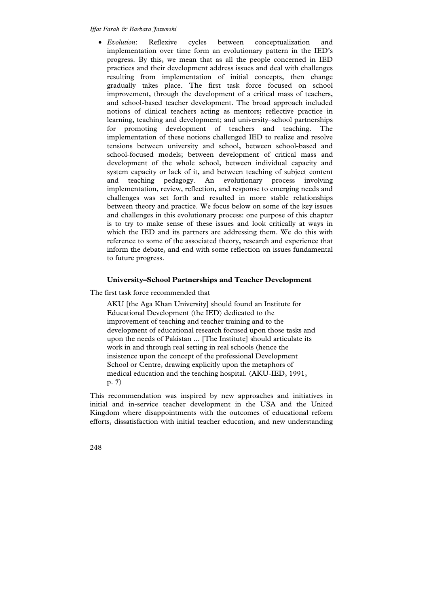• *Evolution*: Reflexive cycles between conceptualization and implementation over time form an evolutionary pattern in the IED's progress. By this, we mean that as all the people concerned in IED practices and their development address issues and deal with challenges resulting from implementation of initial concepts, then change gradually takes place. The first task force focused on school improvement, through the development of a critical mass of teachers, and school-based teacher development. The broad approach included notions of clinical teachers acting as mentors; reflective practice in learning, teaching and development; and university–school partnerships for promoting development of teachers and teaching. The implementation of these notions challenged IED to realize and resolve tensions between university and school, between school-based and school-focused models; between development of critical mass and development of the whole school, between individual capacity and system capacity or lack of it, and between teaching of subject content and teaching pedagogy. An evolutionary process involving implementation, review, reflection, and response to emerging needs and challenges was set forth and resulted in more stable relationships between theory and practice. We focus below on some of the key issues and challenges in this evolutionary process: one purpose of this chapter is to try to make sense of these issues and look critically at ways in which the IED and its partners are addressing them. We do this with reference to some of the associated theory, research and experience that inform the debate, and end with some reflection on issues fundamental to future progress.

# **University–School Partnerships and Teacher Development**

The first task force recommended that

AKU [the Aga Khan University] should found an Institute for Educational Development (the IED) dedicated to the improvement of teaching and teacher training and to the development of educational research focused upon those tasks and upon the needs of Pakistan ... [The Institute] should articulate its work in and through real setting in real schools (hence the insistence upon the concept of the professional Development School or Centre, drawing explicitly upon the metaphors of medical education and the teaching hospital. (AKU-IED, 1991, p. **7**)

This recommendation was inspired by new approaches and initiatives in initial and in-service teacher development in the USA and the United Kingdom where disappointments with the outcomes of educational reform efforts, dissatisfaction with initial teacher education, and new understanding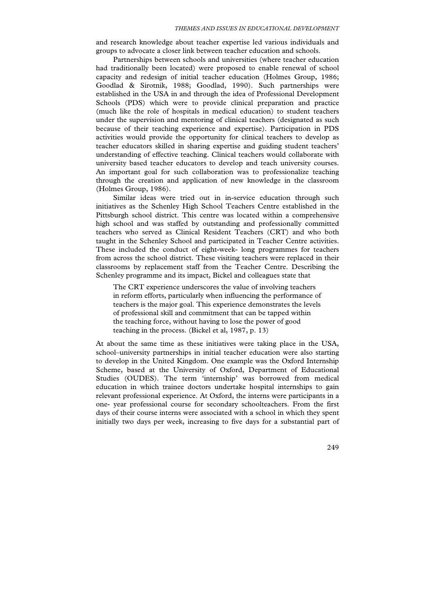and research knowledge about teacher expertise led various individuals and groups to advocate a closer link between teacher education and schools.

Partnerships between schools and universities (where teacher education had traditionally been located) were proposed to enable renewal of school capacity and redesign of initial teacher education (Holmes Group, 1986; Goodlad & Sirotnik, 1988; Goodlad, 1990). Such partnerships were established in the USA in and through the idea of Professional Development Schools (PDS) which were to provide clinical preparation and practice (much like the role of hospitals in medical education) to student teachers under the supervision and mentoring of clinical teachers (designated as such because of their teaching experience and expertise). Participation in PDS activities would provide the opportunity for clinical teachers to develop as teacher educators skilled in sharing expertise and guiding student teachers' understanding of effective teaching. Clinical teachers would collaborate with university based teacher educators to develop and teach university courses. An important goal for such collaboration was to professionalize teaching through the creation and application of new knowledge in the classroom (Holmes Group, 1986).

Similar ideas were tried out in in-service education through such initiatives as the Schenley High School Teachers Centre established in the Pittsburgh school district. This centre was located within a comprehensive high school and was staffed by outstanding and professionally committed teachers who served as Clinical Resident Teachers (CRT) and who both taught in the Schenley School and participated in Teacher Centre activities. These included the conduct of eight-week- long programmes for teachers from across the school district. These visiting teachers were replaced in their classrooms by replacement staff from the Teacher Centre. Describing the Schenley programme and its impact, Bickel and colleagues state that

The CRT experience underscores the value of involving teachers in reform efforts, particularly when influencing the performance of teachers is the major goal. This experience demonstrates the levels of professional skill and commitment that can be tapped within the teaching force, without having to lose the power of good teaching in the process. (Bickel et al, 1987, p. 13)

At about the same time as these initiatives were taking place in the USA, school–university partnerships in initial teacher education were also starting to develop in the United Kingdom. One example was the Oxford Internship Scheme, based at the University of Oxford, Department of Educational Studies (OUDES). The term 'internship' was borrowed from medical education in which trainee doctors undertake hospital internships to gain relevant professional experience. At Oxford, the interns were participants in a one- year professional course for secondary schoolteachers. From the first days of their course interns were associated with a school in which they spent initially two days per week, increasing to five days for a substantial part of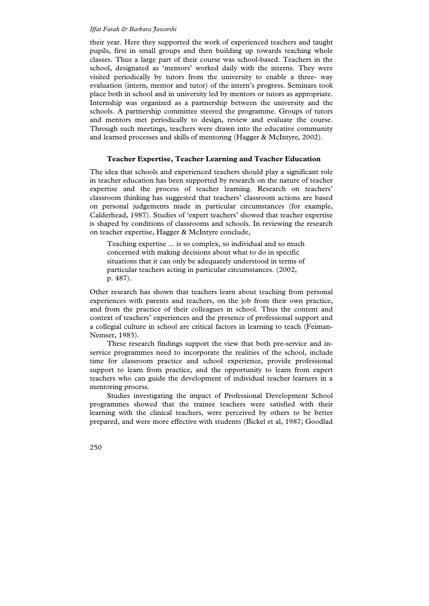their year. Here they supported the work of experienced teachers and taught pupils, first in small groups and then building up towards teaching whole classes. Thus a large part of their course was school-based. Teachers in the school, designated as 'mentors' worked daily with the interns. They were visited periodically by tutors from the university to enable a three- way evaluation (intern, mentor and tutor) of the intern's progress. Seminars took place both in school and in university led by mentors or tutors as appropriate. Internship was organized as a partnership between the university and the schools. A partnership committee steered the programme. Groups of tutors and mentors met periodically to design, review and evaluate the course. Through such meetings, teachers were drawn into the educative community and learned processes and skills of mentoring (Hagger & McIntyre, 2002).

# **Teacher Expertise, Teacher Learning and Teacher Education**

The idea that schools and experienced teachers should play a significant role in teacher education has been supported by research on the nature of teacher expertise and the process of teacher learning. Research on teachers' classroom thinking has suggested that teachers' classroom actions are based on personal judgements made in particular circumstances (for example, Calderhead, 1987). Studies of 'expert teachers' showed that teacher expertise is shaped by conditions of classrooms and schools. In reviewing the research on teacher expertise, Hagger & McIntyre conclude,

Teaching expertise ... is so complex, so individual and so much concerned with making decisions about what to do in specific situations that it can only be adequately understood in terms of particular teachers acting in particular circumstances. (2002, p. 487).

Other research has shown that teachers learn about teaching from personal experiences with parents and teachers, on the job from their own practice, and from the practice of their colleagues in school. Thus the content and context of teachers' experiences and the presence of professional support and a collegial culture in school are critical factors in learning to teach (Feiman-Nemser, 1983).

These research findings support the view that both pre-service and inservice programmes need to incorporate the realities of the school, include time for classroom practice and school experience, provide professional support to learn from practice, and the opportunity to learn from expert teachers who can guide the development of individual teacher learners in a mentoring process.

Studies investigating the impact of Professional Development School programmes showed that the trainee teachers were satisfied with their learning with the clinical teachers, were perceived by others to be better prepared, and were more effective with students (Bickel et al, 1987; Goodlad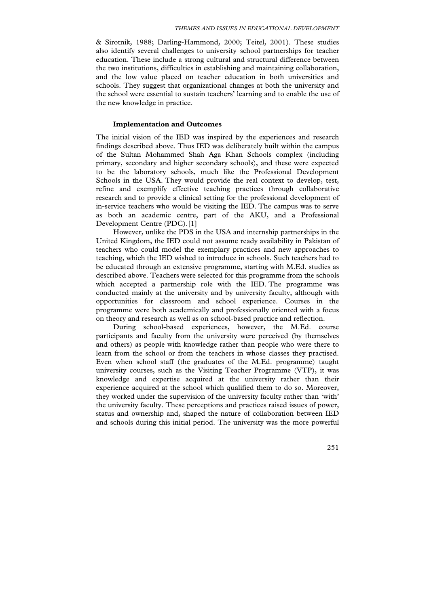& Sirotnik, 1988; Darling-Hammond, 2000; Teitel, 2001). These studies also identify several challenges to university–school partnerships for teacher education. These include a strong cultural and structural difference between the two institutions, difficulties in establishing and maintaining collaboration, and the low value placed on teacher education in both universities and schools. They suggest that organizational changes at both the university and the school were essential to sustain teachers' learning and to enable the use of the new knowledge in practice.

#### **Implementation and Outcomes**

The initial vision of the IED was inspired by the experiences and research findings described above. Thus IED was deliberately built within the campus of the Sultan Mohammed Shah Aga Khan Schools complex (including primary, secondary and higher secondary schools), and these were expected to be the laboratory schools, much like the Professional Development Schools in the USA. They would provide the real context to develop, test, refine and exemplify effective teaching practices through collaborative research and to provide a clinical setting for the professional development of in-service teachers who would be visiting the IED. The campus was to serve as both an academic centre, part of the AKU, and a Professional Development Centre (PDC).[1]

However, unlike the PDS in the USA and internship partnerships in the United Kingdom, the IED could not assume ready availability in Pakistan of teachers who could model the exemplary practices and new approaches to teaching, which the IED wished to introduce in schools. Such teachers had to be educated through an extensive programme, starting with M.Ed. studies as described above. Teachers were selected for this programme from the schools which accepted a partnership role with the IED. The programme was conducted mainly at the university and by university faculty, although with opportunities for classroom and school experience. Courses in the programme were both academically and professionally oriented with a focus on theory and research as well as on school-based practice and reflection.

During school-based experiences, however, the M.Ed. course participants and faculty from the university were perceived (by themselves and others) as people with knowledge rather than people who were there to learn from the school or from the teachers in whose classes they practised. Even when school staff (the graduates of the M.Ed. programme) taught university courses, such as the Visiting Teacher Programme (VTP), it was knowledge and expertise acquired at the university rather than their experience acquired at the school which qualified them to do so. Moreover, they worked under the supervision of the university faculty rather than 'with' the university faculty. These perceptions and practices raised issues of power, status and ownership and, shaped the nature of collaboration between IED and schools during this initial period. The university was the more powerful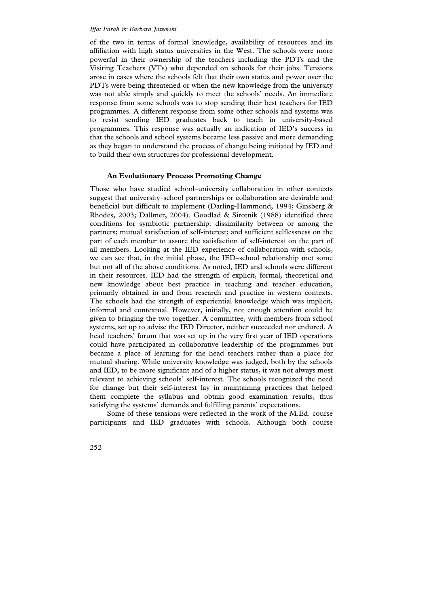of the two in terms of formal knowledge, availability of resources and its affiliation with high status universities in the West. The schools were more powerful in their ownership of the teachers including the PDTs and the Visiting Teachers (VTs) who depended on schools for their jobs. Tensions arose in cases where the schools felt that their own status and power over the PDTs were being threatened or when the new knowledge from the university was not able simply and quickly to meet the schools' needs. An immediate response from some schools was to stop sending their best teachers for IED programmes. A different response from some other schools and systems was to resist sending IED graduates back to teach in university-based programmes. This response was actually an indication of IED's success in that the schools and school systems became less passive and more demanding as they began to understand the process of change being initiated by IED and to build their own structures for professional development.

# **An Evolutionary Process Promoting Change**

Those who have studied school–university collaboration in other contexts suggest that university–school partnerships or collaboration are desirable and beneficial but difficult to implement (Darling-Hammond, 1994; Ginsberg & Rhodes, 2003; Dallmer, 2004). Goodlad & Sirotnik (1988) identified three conditions for symbiotic partnership: dissimilarity between or among the partners; mutual satisfaction of self-interest; and sufficient selflessness on the part of each member to assure the satisfaction of self-interest on the part of all members. Looking at the IED experience of collaboration with schools, we can see that, in the initial phase, the IED–school relationship met some but not all of the above conditions. As noted, IED and schools were different in their resources. IED had the strength of explicit, formal, theoretical and new knowledge about best practice in teaching and teacher education, primarily obtained in and from research and practice in western contexts. The schools had the strength of experiential knowledge which was implicit, informal and contextual. However, initially, not enough attention could be given to bringing the two together. A committee, with members from school systems, set up to advise the IED Director, neither succeeded nor endured. A head teachers' forum that was set up in the very first year of IED operations could have participated in collaborative leadership of the programmes but became a place of learning for the head teachers rather than a place for mutual sharing. While university knowledge was judged, both by the schools and IED, to be more significant and of a higher status, it was not always most relevant to achieving schools' self-interest. The schools recognized the need for change but their self-interest lay in maintaining practices that helped them complete the syllabus and obtain good examination results, thus satisfying the systems' demands and fulfilling parents' expectations.

Some of these tensions were reflected in the work of the M.Ed. course participants and IED graduates with schools. Although both course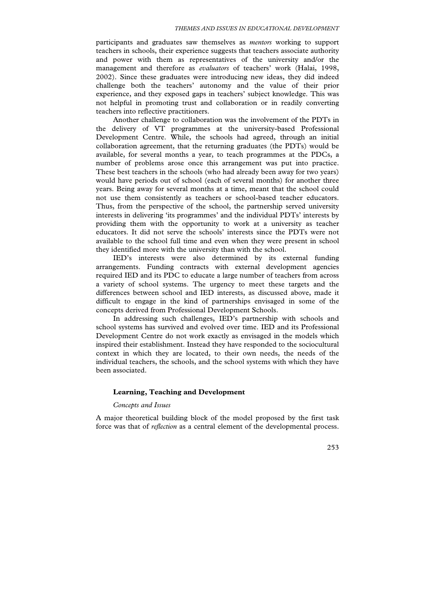participants and graduates saw themselves as *mentors* working to support teachers in schools, their experience suggests that teachers associate authority and power with them as representatives of the university and/or the management and therefore as *evaluators* of teachers' work (Halai, 1998, 2002). Since these graduates were introducing new ideas, they did indeed challenge both the teachers' autonomy and the value of their prior experience, and they exposed gaps in teachers' subject knowledge. This was not helpful in promoting trust and collaboration or in readily converting teachers into reflective practitioners.

Another challenge to collaboration was the involvement of the PDTs in the delivery of VT programmes at the university-based Professional Development Centre. While, the schools had agreed, through an initial collaboration agreement, that the returning graduates (the PDTs) would be available, for several months a year, to teach programmes at the PDCs, a number of problems arose once this arrangement was put into practice. These best teachers in the schools (who had already been away for two years) would have periods out of school (each of several months) for another three years. Being away for several months at a time, meant that the school could not use them consistently as teachers or school-based teacher educators. Thus, from the perspective of the school, the partnership served university interests in delivering 'its programmes' and the individual PDTs' interests by providing them with the opportunity to work at a university as teacher educators. It did not serve the schools' interests since the PDTs were not available to the school full time and even when they were present in school they identified more with the university than with the school.

IED's interests were also determined by its external funding arrangements. Funding contracts with external development agencies required IED and its PDC to educate a large number of teachers from across a variety of school systems. The urgency to meet these targets and the differences between school and IED interests, as discussed above, made it difficult to engage in the kind of partnerships envisaged in some of the concepts derived from Professional Development Schools.

In addressing such challenges, IED's partnership with schools and school systems has survived and evolved over time. IED and its Professional Development Centre do not work exactly as envisaged in the models which inspired their establishment. Instead they have responded to the sociocultural context in which they are located, to their own needs, the needs of the individual teachers, the schools, and the school systems with which they have been associated.

#### **Learning, Teaching and Development**

# *Concepts and Issues*

A major theoretical building block of the model proposed by the first task force was that of *reflection* as a central element of the developmental process.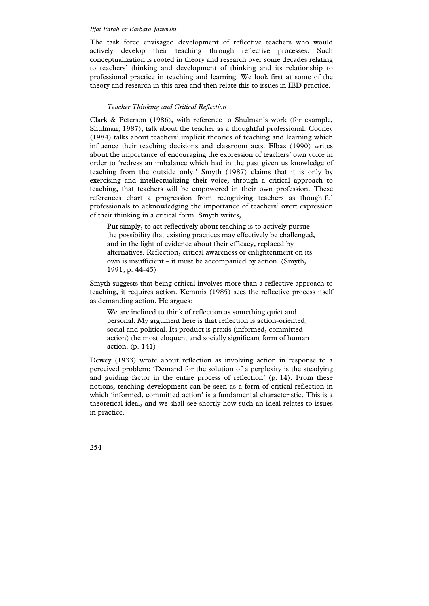The task force envisaged development of reflective teachers who would actively develop their teaching through reflective processes. Such conceptualization is rooted in theory and research over some decades relating to teachers' thinking and development of thinking and its relationship to professional practice in teaching and learning. We look first at some of the theory and research in this area and then relate this to issues in IED practice.

# *Teacher Thinking and Critical Reflection*

Clark & Peterson (1986), with reference to Shulman's work (for example, Shulman, 1987), talk about the teacher as a thoughtful professional. Cooney (1984) talks about teachers' implicit theories of teaching and learning which influence their teaching decisions and classroom acts. Elbaz (1990) writes about the importance of encouraging the expression of teachers' own voice in order to 'redress an imbalance which had in the past given us knowledge of teaching from the outside only.' Smyth (1987) claims that it is only by exercising and intellectualizing their voice, through a critical approach to teaching, that teachers will be empowered in their own profession. These references chart a progression from recognizing teachers as thoughtful professionals to acknowledging the importance of teachers' overt expression of their thinking in a critical form. Smyth writes,

Put simply, to act reflectively about teaching is to actively pursue the possibility that existing practices may effectively be challenged, and in the light of evidence about their efficacy, replaced by alternatives. Reflection, critical awareness or enlightenment on its own is insufficient – it must be accompanied by action. (Smyth, 1991, p. 44-45)

Smyth suggests that being critical involves more than a reflective approach to teaching, it requires action. Kemmis (1985) sees the reflective process itself as demanding action. He argues:

We are inclined to think of reflection as something quiet and personal. My argument here is that reflection is action-oriented, social and political. Its product is praxis (informed, committed action) the most eloquent and socially significant form of human action. (p. 141)

Dewey (1933) wrote about reflection as involving action in response to a perceived problem: 'Demand for the solution of a perplexity is the steadying and guiding factor in the entire process of reflection' (p. 14). From these notions, teaching development can be seen as a form of critical reflection in which 'informed, committed action' is a fundamental characteristic. This is a theoretical ideal, and we shall see shortly how such an ideal relates to issues in practice.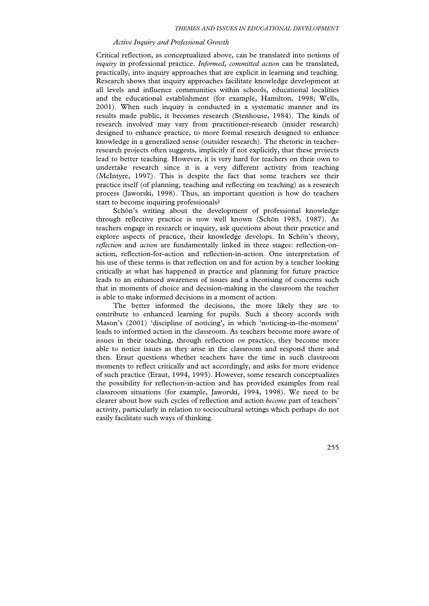#### *Active Inquiry and Professional Growth*

Critical reflection, as conceptualized above, can be translated into notions of *inquiry* in professional practice. *Informed, committed action* can be translated, practically, into inquiry approaches that are explicit in learning and teaching. Research shows that inquiry approaches facilitate knowledge development at all levels and influence communities within schools, educational localities and the educational establishment (for example, Hamilton, 1998; Wells, 2001). When such inquiry is conducted in a systematic manner and its results made public, it becomes research (Stenhouse, 1984). The kinds of research involved may vary from practitioner-research (insider research) designed to enhance practice, to more formal research designed to enhance knowledge in a generalized sense (outsider research). The rhetoric in teacherresearch projects often suggests, implicitly if not explicitly, that these projects lead to better teaching. However, it is very hard for teachers on their own to undertake research since it is a very different activity from teaching (McIntyre, 1997). This is despite the fact that some teachers see their practice itself (of planning, teaching and reflecting on teaching) as a research process (Jaworski, 1998). Thus, an important question is how do teachers start to become inquiring professionals?

Schön's writing about the development of professional knowledge through reflective practice is now well known (Schön 1983, 1987). As teachers engage in research or inquiry, ask questions about their practice and explore aspects of practice, their knowledge develops. In Schön's theory, *reflection* and *action* are fundamentally linked in three stages: reflection-onaction, reflection-for-action and reflection-in-action. One interpretation of his use of these terms is that reflection on and for action by a teacher looking critically at what has happened in practice and planning for future practice leads to an enhanced awareness of issues and a theorising of concerns such that in moments of choice and decision-making in the classroom the teacher is able to make informed decisions in a moment of action.

The better informed the decisions, the more likely they are to contribute to enhanced learning for pupils. Such a theory accords with Mason's (2001) 'discipline of noticing', in which 'noticing-in-the-moment' leads to informed action in the classroom. As teachers become more aware of issues in their teaching, through reflection *on* practice, they become more able to notice issues as they arise in the classroom and respond there and then. Eraut questions whether teachers have the time in such classroom moments to reflect critically and act accordingly, and asks for more evidence of such practice (Eraut, 1994, 1995). However, some research conceptualizes the possibility for reflection-in-action and has provided examples from real classroom situations (for example, Jaworski, 1994, 1998). We need to be clearer about how such cycles of reflection and action *become* part of teachers' activity, particularly in relation to sociocultural settings which perhaps do not easily facilitate such ways of thinking.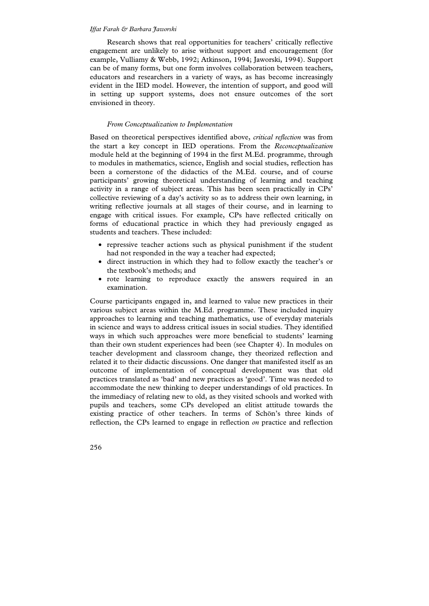Research shows that real opportunities for teachers' critically reflective engagement are unlikely to arise without support and encouragement (for example, Vulliamy & Webb, 1992; Atkinson, 1994; Jaworski, 1994). Support can be of many forms, but one form involves collaboration between teachers, educators and researchers in a variety of ways, as has become increasingly evident in the IED model. However, the intention of support, and good will in setting up support systems, does not ensure outcomes of the sort envisioned in theory.

### *From Conceptualization to Implementation*

Based on theoretical perspectives identified above, *critical reflection* was from the start a key concept in IED operations. From the *Reconceptualization* module held at the beginning of 1994 in the first M.Ed. programme, through to modules in mathematics, science, English and social studies, reflection has been a cornerstone of the didactics of the M.Ed. course, and of course participants' growing theoretical understanding of learning and teaching activity in a range of subject areas. This has been seen practically in CPs' collective reviewing of a day's activity so as to address their own learning, in writing reflective journals at all stages of their course, and in learning to engage with critical issues. For example, CPs have reflected critically on forms of educational practice in which they had previously engaged as students and teachers. These included:

- repressive teacher actions such as physical punishment if the student had not responded in the way a teacher had expected;
- direct instruction in which they had to follow exactly the teacher's or the textbook's methods; and
- rote learning to reproduce exactly the answers required in an examination.

Course participants engaged in, and learned to value new practices in their various subject areas within the M.Ed. programme. These included inquiry approaches to learning and teaching mathematics, use of everyday materials in science and ways to address critical issues in social studies. They identified ways in which such approaches were more beneficial to students' learning than their own student experiences had been (see Chapter 4). In modules on teacher development and classroom change, they theorized reflection and related it to their didactic discussions. One danger that manifested itself as an outcome of implementation of conceptual development was that old practices translated as 'bad' and new practices as 'good'. Time was needed to accommodate the new thinking to deeper understandings of old practices. In the immediacy of relating new to old, as they visited schools and worked with pupils and teachers, some CPs developed an elitist attitude towards the existing practice of other teachers. In terms of Schön's three kinds of reflection, the CPs learned to engage in reflection *on* practice and reflection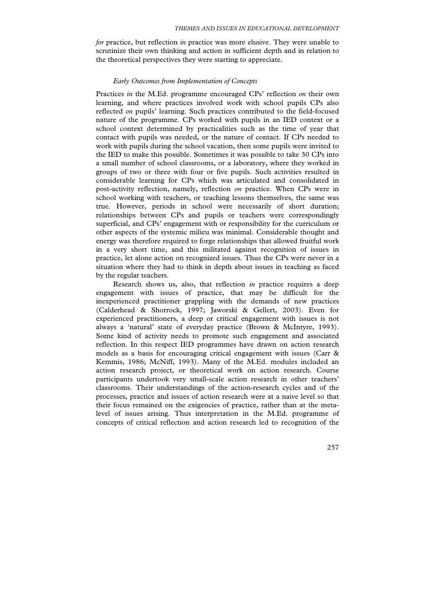*for* practice, but reflection *in* practice was more elusive. They were unable to scrutinize their own thinking and action in sufficient depth and in relation to the theoretical perspectives they were starting to appreciate.

#### *Early Outcomes from Implementation of Concepts*

Practices *in* the M.Ed. programme encouraged CPs' reflection *on* their own learning, and where practices involved work with school pupils CPs also reflected *on* pupils' learning. Such practices contributed to the field-focused nature of the programme. CPs worked with pupils in an IED context or a school context determined by practicalities such as the time of year that contact with pupils was needed, or the nature of contact. If CPs needed to work with pupils during the school vacation, then some pupils were invited to the IED to make this possible. Sometimes it was possible to take 30 CPs into a small number of school classrooms, or a laboratory, where they worked in groups of two or three with four or five pupils. Such activities resulted in considerable learning for CPs which was articulated and consolidated in post-activity reflection, namely, reflection *on* practice. When CPs were in school working with teachers, or teaching lessons themselves, the same was true. However, periods in school were necessarily of short duration; relationships between CPs and pupils or teachers were correspondingly superficial, and CPs' engagement with or responsibility for the curriculum or other aspects of the systemic milieu was minimal. Considerable thought and energy was therefore required to forge relationships that allowed fruitful work in a very short time, and this militated against recognition of issues in practice, let alone action on recognized issues. Thus the CPs were never in a situation where they had to think in depth about issues in teaching as faced by the regular teachers.

Research shows us, also, that reflection *in* practice requires a deep engagement with issues of practice, that may be difficult for the inexperienced practitioner grappling with the demands of new practices (Calderhead & Shorrock, 1997; Jaworski & Gellert, 2003). Even for experienced practitioners, a deep or critical engagement with issues is not always a 'natural' state of everyday practice (Brown & McIntyre, 1993). Some kind of activity needs to promote such engagement and associated reflection. In this respect IED programmes have drawn on action research models as a basis for encouraging critical engagement with issues (Carr & Kemmis, 1986; McNiff, 1993). Many of the M.Ed. modules included an action research project, or theoretical work on action research. Course participants undertook very small-scale action research in other teachers' classrooms. Their understandings of the action-research cycles and of the processes, practice and issues of action research were at a naive level so that their focus remained on the exigencies of practice, rather than at the metalevel of issues arising. Thus interpretation in the M.Ed. programme of concepts of critical reflection and action research led to recognition of the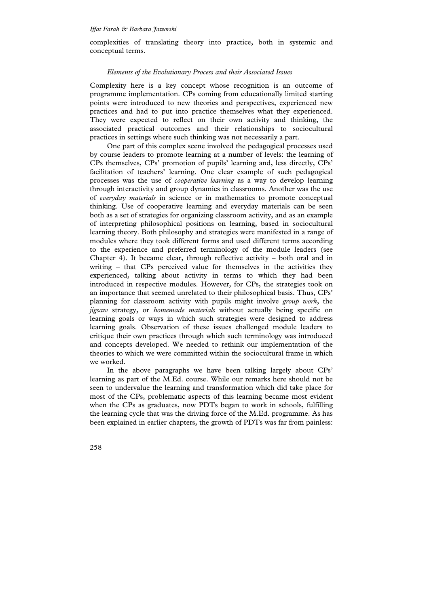complexities of translating theory into practice, both in systemic and conceptual terms.

# *Elements of the Evolutionary Process and their Associated Issues*

Complexity here is a key concept whose recognition is an outcome of programme implementation. CPs coming from educationally limited starting points were introduced to new theories and perspectives, experienced new practices and had to put into practice themselves what they experienced. They were expected to reflect on their own activity and thinking, the associated practical outcomes and their relationships to sociocultural practices in settings where such thinking was not necessarily a part.

One part of this complex scene involved the pedagogical processes used by course leaders to promote learning at a number of levels: the learning of CPs themselves, CPs' promotion of pupils' learning and, less directly, CPs' facilitation of teachers' learning. One clear example of such pedagogical processes was the use of *cooperative learning* as a way to develop learning through interactivity and group dynamics in classrooms. Another was the use of *everyday materials* in science or in mathematics to promote conceptual thinking. Use of cooperative learning and everyday materials can be seen both as a set of strategies for organizing classroom activity, and as an example of interpreting philosophical positions on learning, based in sociocultural learning theory. Both philosophy and strategies were manifested in a range of modules where they took different forms and used different terms according to the experience and preferred terminology of the module leaders (see Chapter 4). It became clear, through reflective activity – both oral and in writing – that CPs perceived value for themselves in the activities they experienced, talking about activity in terms to which they had been introduced in respective modules. However, for CPs, the strategies took on an importance that seemed unrelated to their philosophical basis. Thus, CPs' planning for classroom activity with pupils might involve *group work*, the *jigsaw* strategy, or *homemade materials* without actually being specific on learning goals or ways in which such strategies were designed to address learning goals. Observation of these issues challenged module leaders to critique their own practices through which such terminology was introduced and concepts developed. We needed to rethink our implementation of the theories to which we were committed within the sociocultural frame in which we worked.

In the above paragraphs we have been talking largely about CPs' learning as part of the M.Ed. course. While our remarks here should not be seen to undervalue the learning and transformation which did take place for most of the CPs, problematic aspects of this learning became most evident when the CPs as graduates, now PDTs began to work in schools, fulfilling the learning cycle that was the driving force of the M.Ed. programme. As has been explained in earlier chapters, the growth of PDTs was far from painless: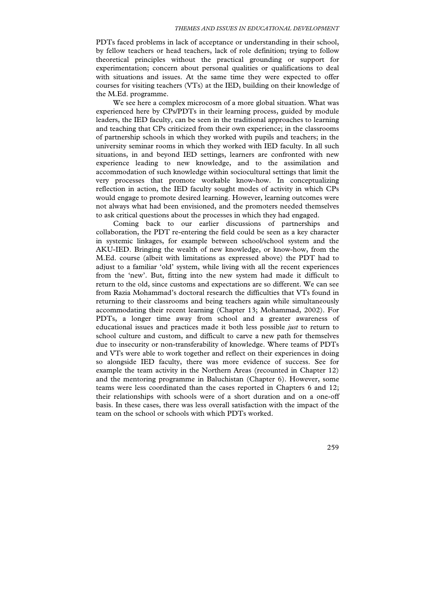PDTs faced problems in lack of acceptance or understanding in their school, by fellow teachers or head teachers, lack of role definition; trying to follow theoretical principles without the practical grounding or support for experimentation; concern about personal qualities or qualifications to deal with situations and issues. At the same time they were expected to offer courses for visiting teachers (VTs) at the IED, building on their knowledge of the M.Ed. programme.

We see here a complex microcosm of a more global situation. What was experienced here by CPs/PDTs in their learning process, guided by module leaders, the IED faculty, can be seen in the traditional approaches to learning and teaching that CPs criticized from their own experience; in the classrooms of partnership schools in which they worked with pupils and teachers; in the university seminar rooms in which they worked with IED faculty. In all such situations, in and beyond IED settings, learners are confronted with new experience leading to new knowledge, and to the assimilation and accommodation of such knowledge within sociocultural settings that limit the very processes that promote workable know-how. In conceptualizing reflection in action, the IED faculty sought modes of activity in which CPs would engage to promote desired learning. However, learning outcomes were not always what had been envisioned, and the promoters needed themselves to ask critical questions about the processes in which they had engaged.

Coming back to our earlier discussions of partnerships and collaboration, the PDT re-entering the field could be seen as a key character in systemic linkages, for example between school/school system and the AKU-IED. Bringing the wealth of new knowledge, or know-how, from the M.Ed. course (albeit with limitations as expressed above) the PDT had to adjust to a familiar 'old' system, while living with all the recent experiences from the 'new'. But, fitting into the new system had made it difficult to return to the old, since customs and expectations are so different. We can see from Razia Mohammad's doctoral research the difficulties that VTs found in returning to their classrooms and being teachers again while simultaneously accommodating their recent learning (Chapter 13; Mohammad, 2002). For PDTs, a longer time away from school and a greater awareness of educational issues and practices made it both less possible *just* to return to school culture and custom, and difficult to carve a new path for themselves due to insecurity or non-transferability of knowledge. Where teams of PDTs and VTs were able to work together and reflect on their experiences in doing so alongside IED faculty, there was more evidence of success. See for example the team activity in the Northern Areas (recounted in Chapter 12) and the mentoring programme in Baluchistan (Chapter 6). However, some teams were less coordinated than the cases reported in Chapters 6 and 12; their relationships with schools were of a short duration and on a one-off basis. In these cases, there was less overall satisfaction with the impact of the team on the school or schools with which PDTs worked.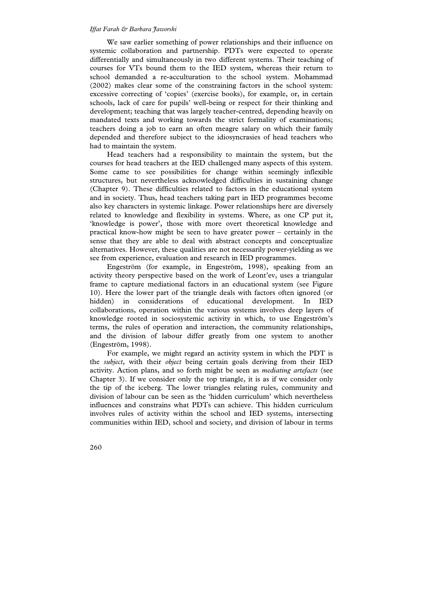We saw earlier something of power relationships and their influence on systemic collaboration and partnership. PDTs were expected to operate differentially and simultaneously in two different systems. Their teaching of courses for VTs bound them to the IED system, whereas their return to school demanded a re-acculturation to the school system. Mohammad (2002) makes clear some of the constraining factors in the school system: excessive correcting of 'copies' (exercise books), for example, or, in certain schools, lack of care for pupils' well-being or respect for their thinking and development; teaching that was largely teacher-centred, depending heavily on mandated texts and working towards the strict formality of examinations; teachers doing a job to earn an often meagre salary on which their family depended and therefore subject to the idiosyncrasies of head teachers who had to maintain the system.

Head teachers had a responsibility to maintain the system, but the courses for head teachers at the IED challenged many aspects of this system. Some came to see possibilities for change within seemingly inflexible structures, but nevertheless acknowledged difficulties in sustaining change (Chapter 9). These difficulties related to factors in the educational system and in society. Thus, head teachers taking part in IED programmes become also key characters in systemic linkage. Power relationships here are diversely related to knowledge and flexibility in systems. Where, as one CP put it, 'knowledge is power', those with more overt theoretical knowledge and practical know-how might be seen to have greater power – certainly in the sense that they are able to deal with abstract concepts and conceptualize alternatives. However, these qualities are not necessarily power-yielding as we see from experience, evaluation and research in IED programmes.

Engeström (for example, in Engeström, 1998), speaking from an activity theory perspective based on the work of Leont'ev, uses a triangular frame to capture mediational factors in an educational system (see Figure 10). Here the lower part of the triangle deals with factors often ignored (or hidden) in considerations of educational development. In IED collaborations, operation within the various systems involves deep layers of knowledge rooted in sociosystemic activity in which, to use Engeström's terms, the rules of operation and interaction, the community relationships, and the division of labour differ greatly from one system to another (Engeström, 1998).

For example, we might regard an activity system in which the PDT is the *subject*, with their *object* being certain goals deriving from their IED activity. Action plans, and so forth might be seen as *mediating artefacts* (see Chapter 3). If we consider only the top triangle, it is as if we consider only the tip of the iceberg. The lower triangles relating rules, community and division of labour can be seen as the 'hidden curriculum' which nevertheless influences and constrains what PDTs can achieve. This hidden curriculum involves rules of activity within the school and IED systems, intersecting communities within IED, school and society, and division of labour in terms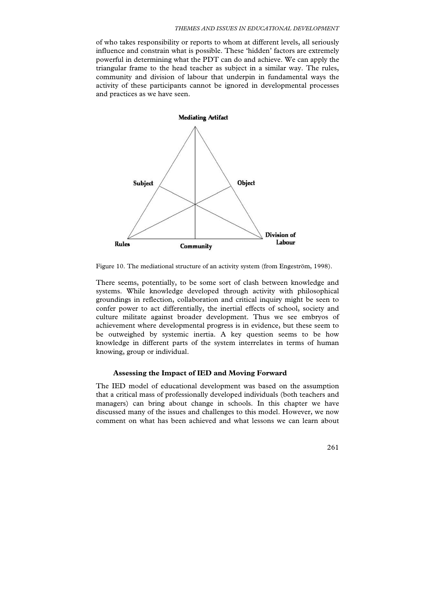of who takes responsibility or reports to whom at different levels, all seriously influence and constrain what is possible. These 'hidden' factors are extremely powerful in determining what the PDT can do and achieve. We can apply the triangular frame to the head teacher as subject in a similar way. The rules, community and division of labour that underpin in fundamental ways the activity of these participants cannot be ignored in developmental processes and practices as we have seen.



Figure 10. The mediational structure of an activity system (from Engeström, 1998).

There seems, potentially, to be some sort of clash between knowledge and systems. While knowledge developed through activity with philosophical groundings in reflection, collaboration and critical inquiry might be seen to confer power to act differentially, the inertial effects of school, society and culture militate against broader development. Thus we see embryos of achievement where developmental progress is in evidence, but these seem to be outweighed by systemic inertia. A key question seems to be how knowledge in different parts of the system interrelates in terms of human knowing, group or individual.

#### **Assessing the Impact of IED and Moving Forward**

The IED model of educational development was based on the assumption that a critical mass of professionally developed individuals (both teachers and managers) can bring about change in schools. In this chapter we have discussed many of the issues and challenges to this model. However, we now comment on what has been achieved and what lessons we can learn about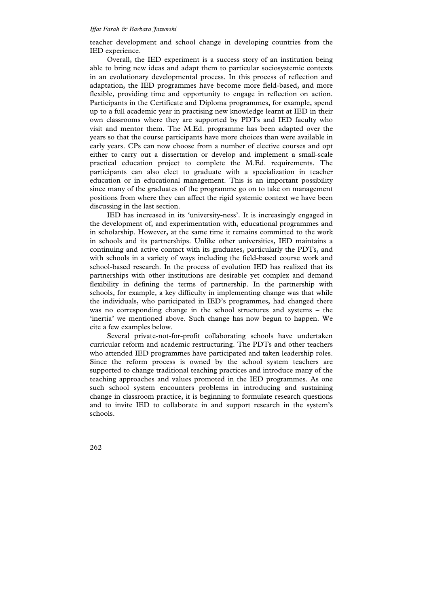teacher development and school change in developing countries from the IED experience.

Overall, the IED experiment is a success story of an institution being able to bring new ideas and adapt them to particular sociosystemic contexts in an evolutionary developmental process. In this process of reflection and adaptation, the IED programmes have become more field-based, and more flexible, providing time and opportunity to engage in reflection on action. Participants in the Certificate and Diploma programmes, for example, spend up to a full academic year in practising new knowledge learnt at IED in their own classrooms where they are supported by PDTs and IED faculty who visit and mentor them. The M.Ed. programme has been adapted over the years so that the course participants have more choices than were available in early years. CPs can now choose from a number of elective courses and opt either to carry out a dissertation or develop and implement a small-scale practical education project to complete the M.Ed. requirements. The participants can also elect to graduate with a specialization in teacher education or in educational management. This is an important possibility since many of the graduates of the programme go on to take on management positions from where they can affect the rigid systemic context we have been discussing in the last section.

IED has increased in its 'university-ness'. It is increasingly engaged in the development of, and experimentation with, educational programmes and in scholarship. However, at the same time it remains committed to the work in schools and its partnerships. Unlike other universities, IED maintains a continuing and active contact with its graduates, particularly the PDTs, and with schools in a variety of ways including the field-based course work and school-based research. In the process of evolution IED has realized that its partnerships with other institutions are desirable yet complex and demand flexibility in defining the terms of partnership. In the partnership with schools, for example, a key difficulty in implementing change was that while the individuals, who participated in IED's programmes, had changed there was no corresponding change in the school structures and systems – the 'inertia' we mentioned above. Such change has now begun to happen. We cite a few examples below.

Several private-not-for-profit collaborating schools have undertaken curricular reform and academic restructuring. The PDTs and other teachers who attended IED programmes have participated and taken leadership roles. Since the reform process is owned by the school system teachers are supported to change traditional teaching practices and introduce many of the teaching approaches and values promoted in the IED programmes. As one such school system encounters problems in introducing and sustaining change in classroom practice, it is beginning to formulate research questions and to invite IED to collaborate in and support research in the system's schools.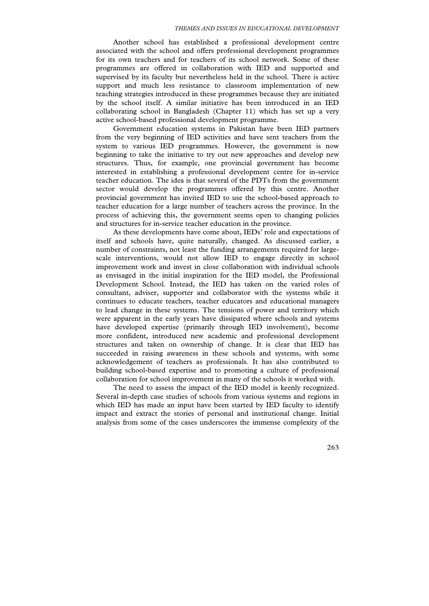Another school has established a professional development centre associated with the school and offers professional development programmes for its own teachers and for teachers of its school network. Some of these programmes are offered in collaboration with IED and supported and supervised by its faculty but nevertheless held in the school. There is active support and much less resistance to classroom implementation of new teaching strategies introduced in these programmes because they are initiated by the school itself. A similar initiative has been introduced in an IED collaborating school in Bangladesh (Chapter 11) which has set up a very active school-based professional development programme.

Government education systems in Pakistan have been IED partners from the very beginning of IED activities and have sent teachers from the system to various IED programmes. However, the government is now beginning to take the initiative to try out new approaches and develop new structures. Thus, for example, one provincial government has become interested in establishing a professional development centre for in-service teacher education. The idea is that several of the PDTs from the government sector would develop the programmes offered by this centre. Another provincial government has invited IED to use the school-based approach to teacher education for a large number of teachers across the province. In the process of achieving this, the government seems open to changing policies and structures for in-service teacher education in the province.

As these developments have come about, IEDs' role and expectations of itself and schools have, quite naturally, changed. As discussed earlier, a number of constraints, not least the funding arrangements required for largescale interventions, would not allow IED to engage directly in school improvement work and invest in close collaboration with individual schools as envisaged in the initial inspiration for the IED model, the Professional Development School. Instead, the IED has taken on the varied roles of consultant, adviser, supporter and collaborator with the systems while it continues to educate teachers, teacher educators and educational managers to lead change in these systems. The tensions of power and territory which were apparent in the early years have dissipated where schools and systems have developed expertise (primarily through IED involvement), become more confident, introduced new academic and professional development structures and taken on ownership of change. It is clear that IED has succeeded in raising awareness in these schools and systems, with some acknowledgement of teachers as professionals. It has also contributed to building school-based expertise and to promoting a culture of professional collaboration for school improvement in many of the schools it worked with.

The need to assess the impact of the IED model is keenly recognized. Several in-depth case studies of schools from various systems and regions in which IED has made an input have been started by IED faculty to identify impact and extract the stories of personal and institutional change. Initial analysis from some of the cases underscores the immense complexity of the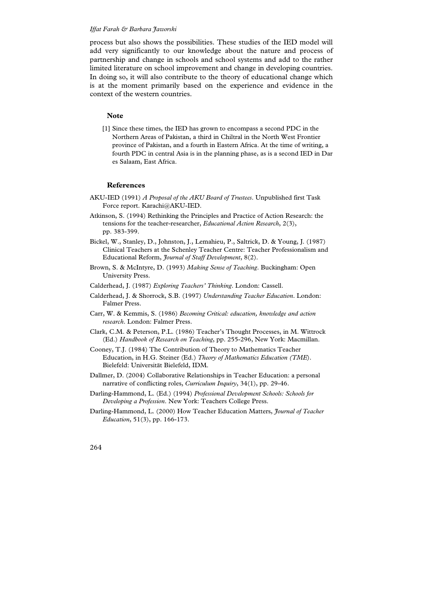process but also shows the possibilities. These studies of the IED model will add very significantly to our knowledge about the nature and process of partnership and change in schools and school systems and add to the rather limited literature on school improvement and change in developing countries. In doing so, it will also contribute to the theory of educational change which is at the moment primarily based on the experience and evidence in the context of the western countries.

# **Note**

[1] Since these times, the IED has grown to encompass a second PDC in the Northern Areas of Pakistan, a third in Chiltral in the North West Frontier province of Pakistan, and a fourth in Eastern Africa. At the time of writing, a fourth PDC in central Asia is in the planning phase, as is a second IED in Dar es Salaam, East Africa.

#### **References**

- AKU-IED (1991) *A Proposal of the AKU Board of Trustees*. Unpublished first Task Force report. Karachi@AKU-IED.
- Atkinson, S. (1994) Rethinking the Principles and Practice of Action Research: the tensions for the teacher-researcher, *Educational Action Research*, 2(3), pp. 383-399.
- Bickel, W., Stanley, D., Johnston, J., Lemahieu, P., Saltrick, D. & Young, J. (1987) Clinical Teachers at the Schenley Teacher Centre: Teacher Professionalism and Educational Reform, *Journal of Staff Development*, 8(2).
- Brown, S. & McIntyre, D. (1993) *Making Sense of Teaching*. Buckingham: Open University Press.
- Calderhead, J. (1987) *Exploring Teachers' Thinking*. London: Cassell.
- Calderhead, J. & Shorrock, S.B. (1997) *Understanding Teacher Education*. London: Falmer Press.
- Carr, W. & Kemmis, S. (1986) *Becoming Critical: education, knowledge and action research*. London: Falmer Press.
- Clark, C.M. & Peterson, P.L. (1986) Teacher's Thought Processes, in M. Wittrock (Ed.) *Handbook of Research on Teaching*, pp. 255-296, New York: Macmillan.
- Cooney, T.J. (1984) The Contribution of Theory to Mathematics Teacher Education, in H.G. Steiner (Ed.) *Theory of Mathematics Education (TME*). Bielefeld: Universität Bielefeld, IDM.
- Dallmer, D. (2004) Collaborative Relationships in Teacher Education: a personal narrative of conflicting roles, *Curriculum Inquiry*, 34(1), pp. 29-46.
- Darling-Hammond, L. (Ed.) (1994) *Professional Development Schools: Schools for Developing a Profession*. New York: Teachers College Press.
- Darling-Hammond, L. (2000) How Teacher Education Matters, *Journal of Teacher Education*, 51(3), pp. 166-173.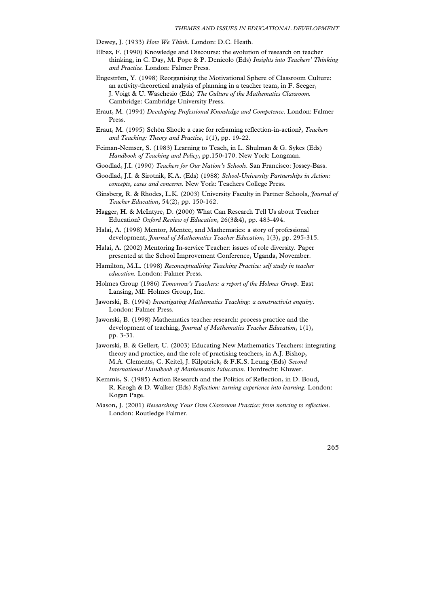Dewey, J. (1933) *How We Think.* London: D.C. Heath.

Elbaz, F. (1990) Knowledge and Discourse: the evolution of research on teacher thinking, in C. Day, M. Pope & P. Denicolo (Eds) *Insights into Teachers' Thinking and Practice.* London: Falmer Press.

Engeström, Y. (1998) Reorganising the Motivational Sphere of Classroom Culture: an activity-theoretical analysis of planning in a teacher team, in F. Seeger, J. Voigt & U. Waschesio (Eds) *The Culture of the Mathematics Classroom.* Cambridge: Cambridge University Press.

- Eraut, M. (1994) *Developing Professional Knowledge and Competence*. London: Falmer Press.
- Eraut, M. (1995) Schön Shock: a case for reframing reflection-in-action?, *Teachers and Teaching: Theory and Practice*, 1(1), pp. 19-22.
- Feiman-Nemser, S. (1983) Learning to Teach, in L. Shulman & G. Sykes (Eds) *Handbook of Teaching and Policy*, pp.150-170. New York: Longman.
- Goodlad, J.I. (1990) *Teachers for Our Nation's Schools*. San Francisco: Jossey-Bass.
- Goodlad, J.I. & Sirotnik, K.A. (Eds) (1988) *School-University Partnerships in Action: concepts, cases and concerns.* New York: Teachers College Press.
- Ginsberg, R. & Rhodes, L.K. (2003) University Faculty in Partner Schools, *Journal of Teacher Education*, 54(2), pp. 150-162.
- Hagger, H. & McIntyre, D. (2000) What Can Research Tell Us about Teacher Education? *Oxford Review of Education*, 26(3&4), pp. 483-494.
- Halai, A. (1998) Mentor, Mentee, and Mathematics: a story of professional development, *Journal of Mathematics Teacher Education*, 1(3), pp. 295-315.
- Halai, A. (2002) Mentoring In-service Teacher: issues of role diversity*.* Paper presented at the School Improvement Conference, Uganda, November.
- Hamilton, M.L. (1998) *Reconceptualising Teaching Practice: self study in teacher education.* London: Falmer Press.
- Holmes Group (1986) *Tomorrow's Teachers: a report of the Holmes Group.* East Lansing, MI: Holmes Group, Inc.
- Jaworski, B. (1994) *Investigating Mathematics Teaching: a constructivist enquiry*. London: Falmer Press.
- Jaworski, B. (1998) Mathematics teacher research: process practice and the development of teaching, *Journal of Mathematics Teacher Education*, 1(1), pp. 3-31.
- Jaworski, B. & Gellert, U. (2003) Educating New Mathematics Teachers: integrating theory and practice, and the role of practising teachers, in A.J. Bishop, M.A. Clements, C. Keitel, J. Kilpatrick, & F.K.S. Leung (Eds) *Second International Handbook of Mathematics Education.* Dordrecht: Kluwer.
- Kemmis, S. (1985) Action Research and the Politics of Reflection, in D. Boud, R. Keogh & D. Walker (Eds) *Reflection: turning experience into learning.* London: Kogan Page.
- Mason, J. (2001) *Researching Your Own Classroom Practice: from noticing to reflection*. London: Routledge Falmer.